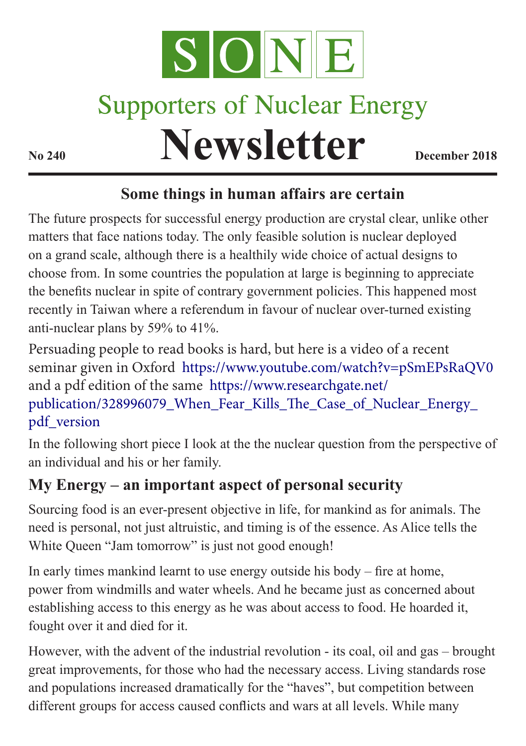

## **Supporters of Nuclear Energy**

**Newsletter December 2018** 

## **Some things in human affairs are certain**

The future prospects for successful energy production are crystal clear, unlike other matters that face nations today. The only feasible solution is nuclear deployed on a grand scale, although there is a healthily wide choice of actual designs to choose from. In some countries the population at large is beginning to appreciate the benefits nuclear in spite of contrary government policies. This happened most recently in Taiwan where a referendum in favour of nuclear over-turned existing anti-nuclear plans by 59% to 41%.

Persuading people to read books is hard, but here is a video of a recent seminar given in Oxford <https://www.youtube.com/watch?v=pSmEPsRaQV0> and a pdf edition of the same [https://www.researchgate.net/](https://www.researchgate.net/publication/328996079_When_Fear_Kills_The_Case_of_Nuclear_Energy_pdf_version) [publication/328996079\\_When\\_Fear\\_Kills\\_The\\_Case\\_of\\_Nuclear\\_Energy\\_](https://www.researchgate.net/publication/328996079_When_Fear_Kills_The_Case_of_Nuclear_Energy_pdf_version) [pdf\\_version](https://www.researchgate.net/publication/328996079_When_Fear_Kills_The_Case_of_Nuclear_Energy_pdf_version)

In the following short piece I look at the the nuclear question from the perspective of an individual and his or her family.

## **My Energy – an important aspect of personal security**

Sourcing food is an ever-present objective in life, for mankind as for animals. The need is personal, not just altruistic, and timing is of the essence. As Alice tells the White Queen "Jam tomorrow" is just not good enough!

In early times mankind learnt to use energy outside his body – fire at home, power from windmills and water wheels. And he became just as concerned about establishing access to this energy as he was about access to food. He hoarded it, fought over it and died for it.

However, with the advent of the industrial revolution - its coal, oil and gas – brought great improvements, for those who had the necessary access. Living standards rose and populations increased dramatically for the "haves", but competition between different groups for access caused conflicts and wars at all levels. While many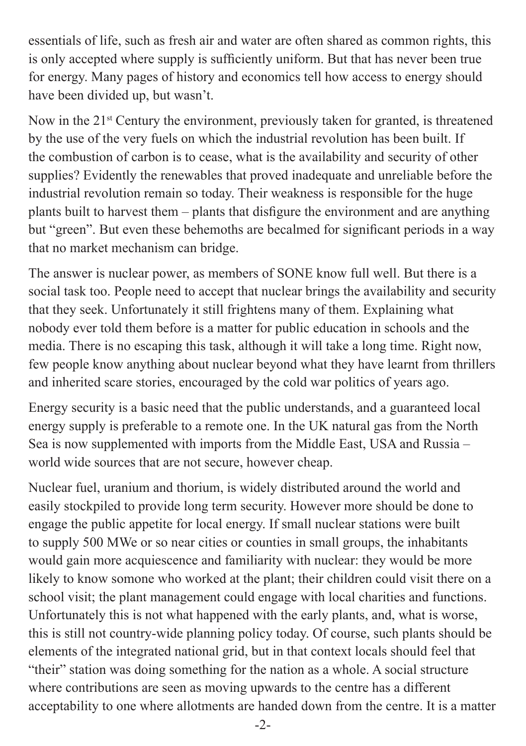essentials of life, such as fresh air and water are often shared as common rights, this is only accepted where supply is sufficiently uniform. But that has never been true for energy. Many pages of history and economics tell how access to energy should have been divided up, but wasn't.

Now in the 21<sup>st</sup> Century the environment, previously taken for granted, is threatened by the use of the very fuels on which the industrial revolution has been built. If the combustion of carbon is to cease, what is the availability and security of other supplies? Evidently the renewables that proved inadequate and unreliable before the industrial revolution remain so today. Their weakness is responsible for the huge plants built to harvest them – plants that disfigure the environment and are anything but "green". But even these behemoths are becalmed for significant periods in a way that no market mechanism can bridge.

The answer is nuclear power, as members of SONE know full well. But there is a social task too. People need to accept that nuclear brings the availability and security that they seek. Unfortunately it still frightens many of them. Explaining what nobody ever told them before is a matter for public education in schools and the media. There is no escaping this task, although it will take a long time. Right now, few people know anything about nuclear beyond what they have learnt from thrillers and inherited scare stories, encouraged by the cold war politics of years ago.

Energy security is a basic need that the public understands, and a guaranteed local energy supply is preferable to a remote one. In the UK natural gas from the North Sea is now supplemented with imports from the Middle East, USA and Russia – world wide sources that are not secure, however cheap.

Nuclear fuel, uranium and thorium, is widely distributed around the world and easily stockpiled to provide long term security. However more should be done to engage the public appetite for local energy. If small nuclear stations were built to supply 500 MWe or so near cities or counties in small groups, the inhabitants would gain more acquiescence and familiarity with nuclear: they would be more likely to know somone who worked at the plant; their children could visit there on a school visit; the plant management could engage with local charities and functions. Unfortunately this is not what happened with the early plants, and, what is worse, this is still not country-wide planning policy today. Of course, such plants should be elements of the integrated national grid, but in that context locals should feel that "their" station was doing something for the nation as a whole. A social structure where contributions are seen as moving upwards to the centre has a different acceptability to one where allotments are handed down from the centre. It is a matter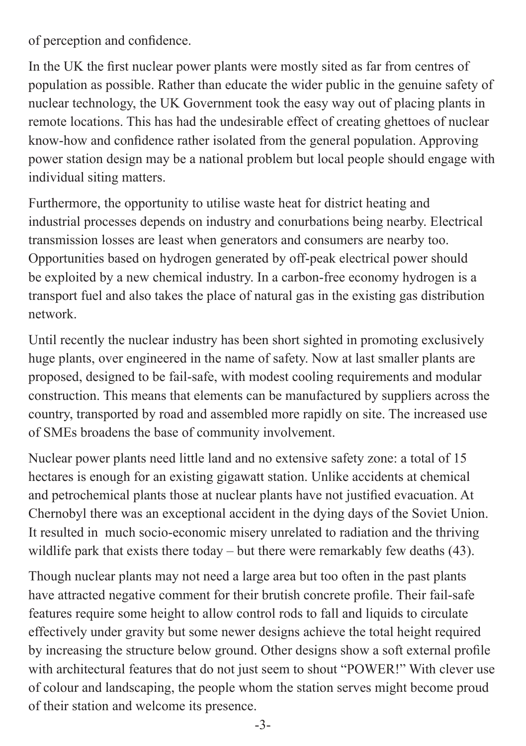of perception and confidence.

In the UK the first nuclear power plants were mostly sited as far from centres of population as possible. Rather than educate the wider public in the genuine safety of nuclear technology, the UK Government took the easy way out of placing plants in remote locations. This has had the undesirable effect of creating ghettoes of nuclear know-how and confidence rather isolated from the general population. Approving power station design may be a national problem but local people should engage with individual siting matters.

Furthermore, the opportunity to utilise waste heat for district heating and industrial processes depends on industry and conurbations being nearby. Electrical transmission losses are least when generators and consumers are nearby too. Opportunities based on hydrogen generated by off-peak electrical power should be exploited by a new chemical industry. In a carbon-free economy hydrogen is a transport fuel and also takes the place of natural gas in the existing gas distribution network.

Until recently the nuclear industry has been short sighted in promoting exclusively huge plants, over engineered in the name of safety. Now at last smaller plants are proposed, designed to be fail-safe, with modest cooling requirements and modular construction. This means that elements can be manufactured by suppliers across the country, transported by road and assembled more rapidly on site. The increased use of SMEs broadens the base of community involvement.

Nuclear power plants need little land and no extensive safety zone: a total of 15 hectares is enough for an existing gigawatt station. Unlike accidents at chemical and petrochemical plants those at nuclear plants have not justified evacuation. At Chernobyl there was an exceptional accident in the dying days of the Soviet Union. It resulted in much socio-economic misery unrelated to radiation and the thriving wildlife park that exists there today – but there were remarkably few deaths (43).

Though nuclear plants may not need a large area but too often in the past plants have attracted negative comment for their brutish concrete profile. Their fail-safe features require some height to allow control rods to fall and liquids to circulate effectively under gravity but some newer designs achieve the total height required by increasing the structure below ground. Other designs show a soft external profile with architectural features that do not just seem to shout "POWER!" With clever use of colour and landscaping, the people whom the station serves might become proud of their station and welcome its presence.